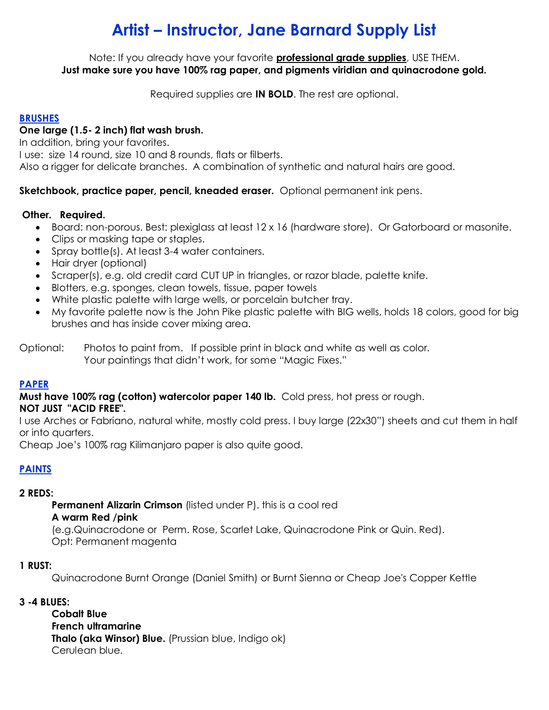# **Artist – Instructor, Jane Barnard Supply List**

Note: If you already have your favorite **professional grade supplies**, USE THEM. **Just make sure you have 100% rag paper, and pigments viridian and quinacrodone gold.**

Required supplies are **IN BOLD**. The rest are optional.

#### **BRUSHES**

#### **One large (1.5- 2 inch) flat wash brush.**

In addition, bring your favorites.

I use: size 14 round, size 10 and 8 rounds, flats or filberts.

Also a rigger for delicate branches. A combination of synthetic and natural hairs are good.

**Sketchbook, practice paper, pencil, kneaded eraser.** Optional permanent ink pens.

#### **Other. Required.**

- Board: non-porous. Best: plexiglass at least 12 x 16 (hardware store). Or Gatorboard or masonite.
- Clips or masking tape or staples.
- Spray bottle(s). At least 3-4 water containers.
- Hair dryer (optional)
- Scraper(s), e.g. old credit card CUT UP in triangles, or razor blade, palette knife.
- Blotters, e.g. sponges, clean towels, tissue, paper towels
- White plastic palette with large wells, or porcelain butcher tray.
- My favorite palette now is the John Pike plastic palette with BIG wells, holds 18 colors, good for big brushes and has inside cover mixing area.

#### **PAPER**

**Must have 100% rag (cotton) watercolor paper 140 lb.** Cold press, hot press or rough.

**NOT JUST "ACID FREE".**

I use Arches or Fabriano, natural white, mostly cold press. I buy large (22x30") sheets and cut them in half or into quarters.

Cheap Joe's 100% rag Kilimanjaro paper is also quite good.

### **PAINTS**

#### **2 REDS:**

**Permanent Alizarin Crimson** (listed under P). this is a cool red

#### **A warm Red /pink**

(e.g.Quinacrodone or Perm. Rose, Scarlet Lake, Quinacrodone Pink or Quin. Red). Opt: Permanent magenta

#### **1 RUST:**

Quinacrodone Burnt Orange (Daniel Smith) or Burnt Sienna or Cheap Joe's Copper Kettle

#### **3 -4 BLUES:**

**Cobalt Blue French ultramarine Thalo (aka Winsor) Blue.** (Prussian blue, Indigo ok) Cerulean blue.

Optional: Photos to paint from. If possible print in black and white as well as color. Your paintings that didn't work, for some "Magic Fixes."